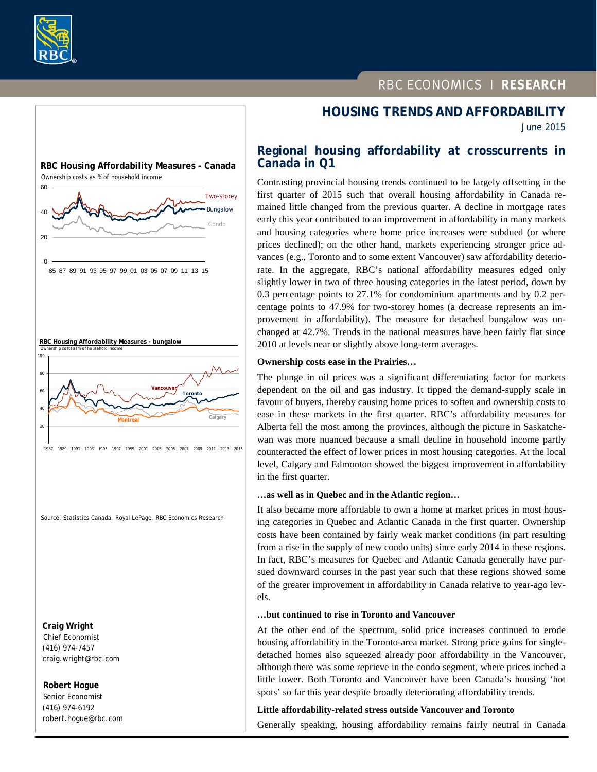



 **Robert Hogue** Senior Economist (416) 974-6192 robert.hogue@rbc.com

# RBC ECONOMICS | RESEARCH

# **HOUSING TRENDS AND AFFORDABILITY**

June 2015

## **Regional housing affordability at crosscurrents in Canada in Q1**

Contrasting provincial housing trends continued to be largely offsetting in the first quarter of 2015 such that overall housing affordability in Canada remained little changed from the previous quarter. A decline in mortgage rates early this year contributed to an improvement in affordability in many markets and housing categories where home price increases were subdued (or where prices declined); on the other hand, markets experiencing stronger price advances (e.g., Toronto and to some extent Vancouver) saw affordability deteriorate. In the aggregate, RBC's national affordability measures edged only slightly lower in two of three housing categories in the latest period, down by 0.3 percentage points to 27.1% for condominium apartments and by 0.2 percentage points to 47.9% for two-storey homes (a decrease represents an improvement in affordability). The measure for detached bungalow was unchanged at 42.7%. Trends in the national measures have been fairly flat since 2010 at levels near or slightly above long-term averages.

#### **Ownership costs ease in the Prairies…**

The plunge in oil prices was a significant differentiating factor for markets dependent on the oil and gas industry. It tipped the demand-supply scale in favour of buyers, thereby causing home prices to soften and ownership costs to ease in these markets in the first quarter. RBC's affordability measures for Alberta fell the most among the provinces, although the picture in Saskatchewan was more nuanced because a small decline in household income partly counteracted the effect of lower prices in most housing categories. At the local level, Calgary and Edmonton showed the biggest improvement in affordability in the first quarter.

#### **…as well as in Quebec and in the Atlantic region…**

It also became more affordable to own a home at market prices in most housing categories in Quebec and Atlantic Canada in the first quarter. Ownership costs have been contained by fairly weak market conditions (in part resulting from a rise in the supply of new condo units) since early 2014 in these regions. In fact, RBC's measures for Quebec and Atlantic Canada generally have pursued downward courses in the past year such that these regions showed some of the greater improvement in affordability in Canada relative to year-ago levels.

#### **…but continued to rise in Toronto and Vancouver**

At the other end of the spectrum, solid price increases continued to erode housing affordability in the Toronto-area market. Strong price gains for singledetached homes also squeezed already poor affordability in the Vancouver, although there was some reprieve in the condo segment, where prices inched a little lower. Both Toronto and Vancouver have been Canada's housing 'hot spots' so far this year despite broadly deteriorating affordability trends.

#### **Little affordability-related stress outside Vancouver and Toronto**

Generally speaking, housing affordability remains fairly neutral in Canada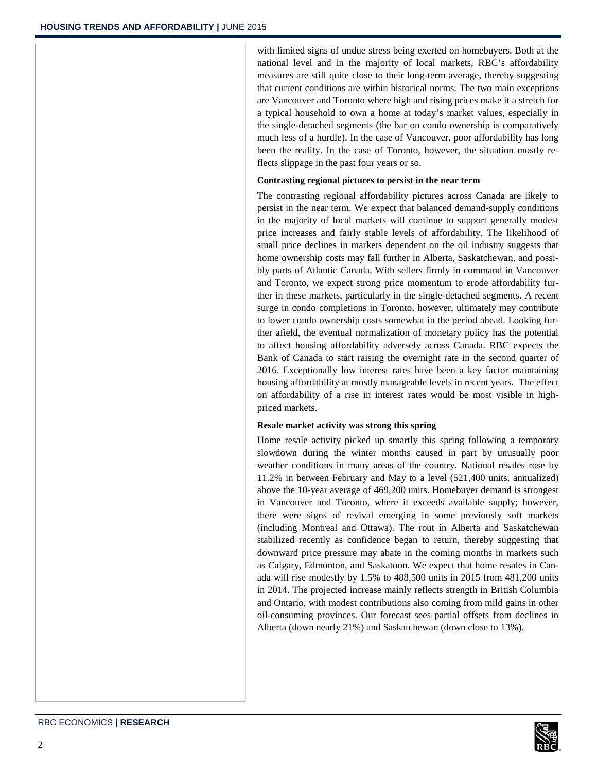with limited signs of undue stress being exerted on homebuyers. Both at the national level and in the majority of local markets, RBC's affordability measures are still quite close to their long-term average, thereby suggesting that current conditions are within historical norms. The two main exceptions are Vancouver and Toronto where high and rising prices make it a stretch for a typical household to own a home at today's market values, especially in the single-detached segments (the bar on condo ownership is comparatively much less of a hurdle). In the case of Vancouver, poor affordability has long been the reality. In the case of Toronto, however, the situation mostly reflects slippage in the past four years or so.

#### **Contrasting regional pictures to persist in the near term**

The contrasting regional affordability pictures across Canada are likely to persist in the near term. We expect that balanced demand-supply conditions in the majority of local markets will continue to support generally modest price increases and fairly stable levels of affordability. The likelihood of small price declines in markets dependent on the oil industry suggests that home ownership costs may fall further in Alberta, Saskatchewan, and possibly parts of Atlantic Canada. With sellers firmly in command in Vancouver and Toronto, we expect strong price momentum to erode affordability further in these markets, particularly in the single-detached segments. A recent surge in condo completions in Toronto, however, ultimately may contribute to lower condo ownership costs somewhat in the period ahead. Looking further afield, the eventual normalization of monetary policy has the potential to affect housing affordability adversely across Canada. RBC expects the Bank of Canada to start raising the overnight rate in the second quarter of 2016. Exceptionally low interest rates have been a key factor maintaining housing affordability at mostly manageable levels in recent years. The effect on affordability of a rise in interest rates would be most visible in highpriced markets.

#### **Resale market activity was strong this spring**

Home resale activity picked up smartly this spring following a temporary slowdown during the winter months caused in part by unusually poor weather conditions in many areas of the country. National resales rose by 11.2% in between February and May to a level (521,400 units, annualized) above the 10-year average of 469,200 units. Homebuyer demand is strongest in Vancouver and Toronto, where it exceeds available supply; however, there were signs of revival emerging in some previously soft markets (including Montreal and Ottawa). The rout in Alberta and Saskatchewan stabilized recently as confidence began to return, thereby suggesting that downward price pressure may abate in the coming months in markets such as Calgary, Edmonton, and Saskatoon. We expect that home resales in Canada will rise modestly by 1.5% to 488,500 units in 2015 from 481,200 units in 2014. The projected increase mainly reflects strength in British Columbia and Ontario, with modest contributions also coming from mild gains in other oil-consuming provinces. Our forecast sees partial offsets from declines in Alberta (down nearly 21%) and Saskatchewan (down close to 13%).

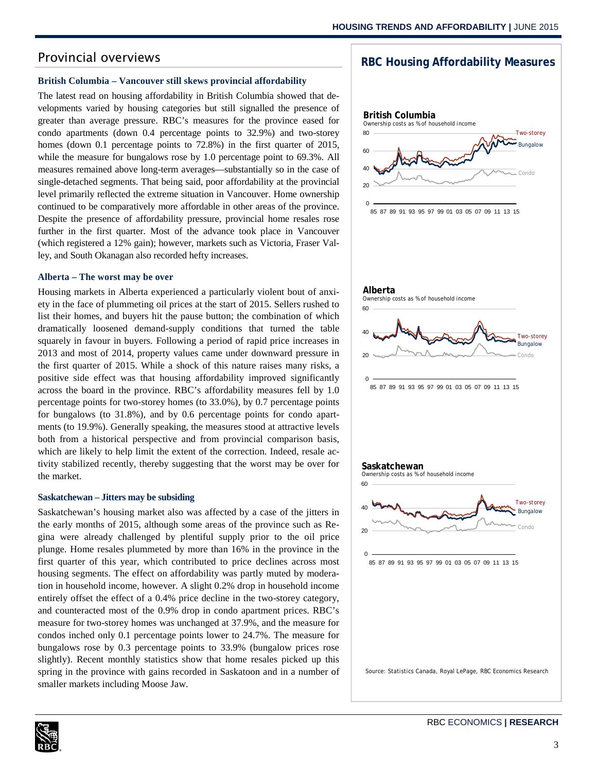## Provincial overviews

#### **British Columbia – Vancouver still skews provincial affordability**

The latest read on housing affordability in British Columbia showed that developments varied by housing categories but still signalled the presence of greater than average pressure. RBC's measures for the province eased for condo apartments (down 0.4 percentage points to 32.9%) and two-storey homes (down 0.1 percentage points to 72.8%) in the first quarter of 2015, while the measure for bungalows rose by 1.0 percentage point to 69.3%. All measures remained above long-term averages—substantially so in the case of single-detached segments. That being said, poor affordability at the provincial level primarily reflected the extreme situation in Vancouver. Home ownership continued to be comparatively more affordable in other areas of the province. Despite the presence of affordability pressure, provincial home resales rose further in the first quarter. Most of the advance took place in Vancouver (which registered a 12% gain); however, markets such as Victoria, Fraser Valley, and South Okanagan also recorded hefty increases.

#### **Alberta – The worst may be over**

Housing markets in Alberta experienced a particularly violent bout of anxiety in the face of plummeting oil prices at the start of 2015. Sellers rushed to list their homes, and buyers hit the pause button; the combination of which dramatically loosened demand-supply conditions that turned the table squarely in favour in buyers. Following a period of rapid price increases in 2013 and most of 2014, property values came under downward pressure in the first quarter of 2015. While a shock of this nature raises many risks, a positive side effect was that housing affordability improved significantly across the board in the province. RBC's affordability measures fell by 1.0 percentage points for two-storey homes (to 33.0%), by 0.7 percentage points for bungalows (to 31.8%), and by 0.6 percentage points for condo apartments (to 19.9%). Generally speaking, the measures stood at attractive levels both from a historical perspective and from provincial comparison basis, which are likely to help limit the extent of the correction. Indeed, resale activity stabilized recently, thereby suggesting that the worst may be over for the market.

#### **Saskatchewan – Jitters may be subsiding**

Saskatchewan's housing market also was affected by a case of the jitters in the early months of 2015, although some areas of the province such as Regina were already challenged by plentiful supply prior to the oil price plunge. Home resales plummeted by more than 16% in the province in the first quarter of this year, which contributed to price declines across most housing segments. The effect on affordability was partly muted by moderation in household income, however. A slight 0.2% drop in household income entirely offset the effect of a 0.4% price decline in the two-storey category, and counteracted most of the 0.9% drop in condo apartment prices. RBC's measure for two-storey homes was unchanged at 37.9%, and the measure for condos inched only 0.1 percentage points lower to 24.7%. The measure for bungalows rose by 0.3 percentage points to 33.9% (bungalow prices rose slightly). Recent monthly statistics show that home resales picked up this spring in the province with gains recorded in Saskatoon and in a number of smaller markets including Moose Jaw.



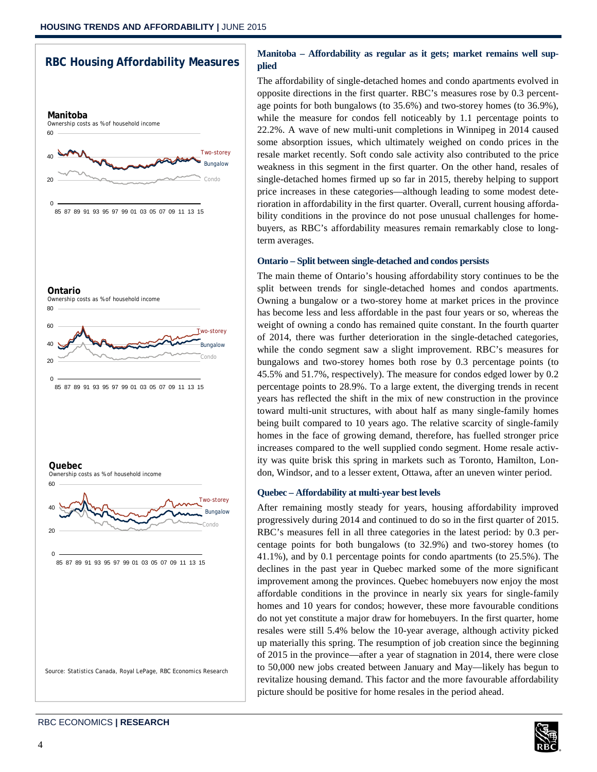

## **Manitoba – Affordability as regular as it gets; market remains well supplied**

The affordability of single-detached homes and condo apartments evolved in opposite directions in the first quarter. RBC's measures rose by 0.3 percentage points for both bungalows (to 35.6%) and two-storey homes (to 36.9%), while the measure for condos fell noticeably by 1.1 percentage points to 22.2%. A wave of new multi-unit completions in Winnipeg in 2014 caused some absorption issues, which ultimately weighed on condo prices in the resale market recently. Soft condo sale activity also contributed to the price weakness in this segment in the first quarter. On the other hand, resales of single-detached homes firmed up so far in 2015, thereby helping to support price increases in these categories—although leading to some modest deterioration in affordability in the first quarter. Overall, current housing affordability conditions in the province do not pose unusual challenges for homebuyers, as RBC's affordability measures remain remarkably close to longterm averages.

#### **Ontario – Split between single-detached and condos persists**

The main theme of Ontario's housing affordability story continues to be the split between trends for single-detached homes and condos apartments. Owning a bungalow or a two-storey home at market prices in the province has become less and less affordable in the past four years or so, whereas the weight of owning a condo has remained quite constant. In the fourth quarter of 2014, there was further deterioration in the single-detached categories, while the condo segment saw a slight improvement. RBC's measures for bungalows and two-storey homes both rose by 0.3 percentage points (to 45.5% and 51.7%, respectively). The measure for condos edged lower by 0.2 percentage points to 28.9%. To a large extent, the diverging trends in recent years has reflected the shift in the mix of new construction in the province toward multi-unit structures, with about half as many single-family homes being built compared to 10 years ago. The relative scarcity of single-family homes in the face of growing demand, therefore, has fuelled stronger price increases compared to the well supplied condo segment. Home resale activity was quite brisk this spring in markets such as Toronto, Hamilton, London, Windsor, and to a lesser extent, Ottawa, after an uneven winter period.

#### **Quebec – Affordability at multi-year best levels**

After remaining mostly steady for years, housing affordability improved progressively during 2014 and continued to do so in the first quarter of 2015. RBC's measures fell in all three categories in the latest period: by 0.3 percentage points for both bungalows (to 32.9%) and two-storey homes (to 41.1%), and by 0.1 percentage points for condo apartments (to 25.5%). The declines in the past year in Quebec marked some of the more significant improvement among the provinces. Quebec homebuyers now enjoy the most affordable conditions in the province in nearly six years for single-family homes and 10 years for condos; however, these more favourable conditions do not yet constitute a major draw for homebuyers. In the first quarter, home resales were still 5.4% below the 10-year average, although activity picked up materially this spring. The resumption of job creation since the beginning of 2015 in the province—after a year of stagnation in 2014, there were close to 50,000 new jobs created between January and May—likely has begun to revitalize housing demand. This factor and the more favourable affordability picture should be positive for home resales in the period ahead.

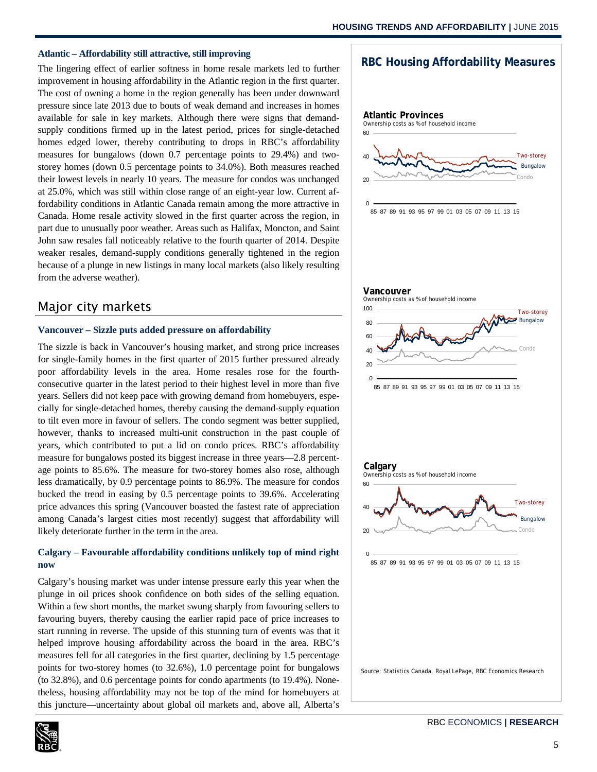#### **Atlantic – Affordability still attractive, still improving**

The lingering effect of earlier softness in home resale markets led to further improvement in housing affordability in the Atlantic region in the first quarter. The cost of owning a home in the region generally has been under downward pressure since late 2013 due to bouts of weak demand and increases in homes available for sale in key markets. Although there were signs that demandsupply conditions firmed up in the latest period, prices for single-detached homes edged lower, thereby contributing to drops in RBC's affordability measures for bungalows (down 0.7 percentage points to 29.4%) and twostorey homes (down 0.5 percentage points to 34.0%). Both measures reached their lowest levels in nearly 10 years. The measure for condos was unchanged at 25.0%, which was still within close range of an eight-year low. Current affordability conditions in Atlantic Canada remain among the more attractive in Canada. Home resale activity slowed in the first quarter across the region, in part due to unusually poor weather. Areas such as Halifax, Moncton, and Saint John saw resales fall noticeably relative to the fourth quarter of 2014. Despite weaker resales, demand-supply conditions generally tightened in the region because of a plunge in new listings in many local markets (also likely resulting from the adverse weather).

## Major city markets

#### **Vancouver – Sizzle puts added pressure on affordability**

The sizzle is back in Vancouver's housing market, and strong price increases for single-family homes in the first quarter of 2015 further pressured already poor affordability levels in the area. Home resales rose for the fourthconsecutive quarter in the latest period to their highest level in more than five years. Sellers did not keep pace with growing demand from homebuyers, especially for single-detached homes, thereby causing the demand-supply equation to tilt even more in favour of sellers. The condo segment was better supplied, however, thanks to increased multi-unit construction in the past couple of years, which contributed to put a lid on condo prices. RBC's affordability measure for bungalows posted its biggest increase in three years—2.8 percentage points to 85.6%. The measure for two-storey homes also rose, although less dramatically, by 0.9 percentage points to 86.9%. The measure for condos bucked the trend in easing by 0.5 percentage points to 39.6%. Accelerating price advances this spring (Vancouver boasted the fastest rate of appreciation among Canada's largest cities most recently) suggest that affordability will likely deteriorate further in the term in the area.

## **Calgary – Favourable affordability conditions unlikely top of mind right now**

Calgary's housing market was under intense pressure early this year when the plunge in oil prices shook confidence on both sides of the selling equation. Within a few short months, the market swung sharply from favouring sellers to favouring buyers, thereby causing the earlier rapid pace of price increases to start running in reverse. The upside of this stunning turn of events was that it helped improve housing affordability across the board in the area. RBC's measures fell for all categories in the first quarter, declining by 1.5 percentage points for two-storey homes (to 32.6%), 1.0 percentage point for bungalows (to 32.8%), and 0.6 percentage points for condo apartments (to 19.4%). Nonetheless, housing affordability may not be top of the mind for homebuyers at this juncture—uncertainty about global oil markets and, above all, Alberta's



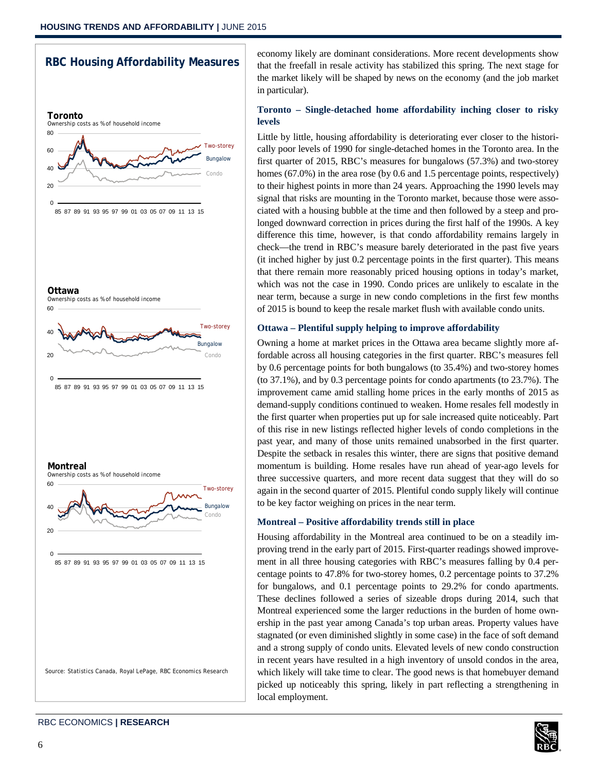## **RBC Housing Affordability Measures**



economy likely are dominant considerations. More recent developments show that the freefall in resale activity has stabilized this spring. The next stage for the market likely will be shaped by news on the economy (and the job market in particular).

## **Toronto – Single-detached home affordability inching closer to risky levels**

Little by little, housing affordability is deteriorating ever closer to the historically poor levels of 1990 for single-detached homes in the Toronto area. In the first quarter of 2015, RBC's measures for bungalows (57.3%) and two-storey homes (67.0%) in the area rose (by 0.6 and 1.5 percentage points, respectively) to their highest points in more than 24 years. Approaching the 1990 levels may signal that risks are mounting in the Toronto market, because those were associated with a housing bubble at the time and then followed by a steep and prolonged downward correction in prices during the first half of the 1990s. A key difference this time, however, is that condo affordability remains largely in check—the trend in RBC's measure barely deteriorated in the past five years (it inched higher by just 0.2 percentage points in the first quarter). This means that there remain more reasonably priced housing options in today's market, which was not the case in 1990. Condo prices are unlikely to escalate in the near term, because a surge in new condo completions in the first few months of 2015 is bound to keep the resale market flush with available condo units.

#### **Ottawa – Plentiful supply helping to improve affordability**

Owning a home at market prices in the Ottawa area became slightly more affordable across all housing categories in the first quarter. RBC's measures fell by 0.6 percentage points for both bungalows (to 35.4%) and two-storey homes (to 37.1%), and by 0.3 percentage points for condo apartments (to 23.7%). The improvement came amid stalling home prices in the early months of 2015 as demand-supply conditions continued to weaken. Home resales fell modestly in the first quarter when properties put up for sale increased quite noticeably. Part of this rise in new listings reflected higher levels of condo completions in the past year, and many of those units remained unabsorbed in the first quarter. Despite the setback in resales this winter, there are signs that positive demand momentum is building. Home resales have run ahead of year-ago levels for three successive quarters, and more recent data suggest that they will do so again in the second quarter of 2015. Plentiful condo supply likely will continue to be key factor weighing on prices in the near term.

#### **Montreal – Positive affordability trends still in place**

Housing affordability in the Montreal area continued to be on a steadily improving trend in the early part of 2015. First-quarter readings showed improvement in all three housing categories with RBC's measures falling by 0.4 percentage points to 47.8% for two-storey homes, 0.2 percentage points to 37.2% for bungalows, and 0.1 percentage points to 29.2% for condo apartments. These declines followed a series of sizeable drops during 2014, such that Montreal experienced some the larger reductions in the burden of home ownership in the past year among Canada's top urban areas. Property values have stagnated (or even diminished slightly in some case) in the face of soft demand and a strong supply of condo units. Elevated levels of new condo construction in recent years have resulted in a high inventory of unsold condos in the area, which likely will take time to clear. The good news is that homebuyer demand picked up noticeably this spring, likely in part reflecting a strengthening in local employment.

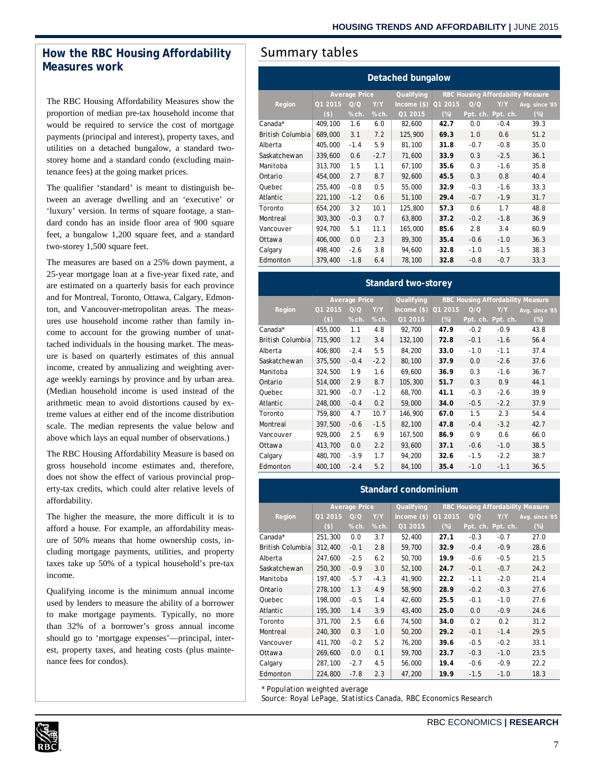## How the RBC Housing Affordability | Summary tables **Measures work**

The RBC Housing Affordability Measures show the proportion of median pre-tax household income that would be required to service the cost of mortgage payments (principal and interest), property taxes, and utilities on a detached bungalow, a standard twostorey home and a standard condo (excluding maintenance fees) at the going market prices.

The qualifier 'standard' is meant to distinguish between an average dwelling and an 'executive' or 'luxury' version. In terms of square footage, a standard condo has an inside floor area of 900 square feet, a bungalow 1,200 square feet, and a standard two-storey 1,500 square feet.

The measures are based on a 25% down payment, a 25-year mortgage loan at a five-year fixed rate, and are estimated on a quarterly basis for each province and for Montreal, Toronto, Ottawa, Calgary, Edmonton, and Vancouver-metropolitan areas. The measures use household income rather than family income to account for the growing number of unattached individuals in the housing market. The measure is based on quarterly estimates of this annual income, created by annualizing and weighting average weekly earnings by province and by urban area. (Median household income is used instead of the arithmetic mean to avoid distortions caused by extreme values at either end of the income distribution scale. The median represents the value below and above which lays an equal number of observations.)

The RBC Housing Affordability Measure is based on gross household income estimates and, therefore, does not show the effect of various provincial property-tax credits, which could alter relative levels of affordability.

The higher the measure, the more difficult it is to afford a house. For example, an affordability measure of 50% means that home ownership costs, including mortgage payments, utilities, and property taxes take up 50% of a typical household's pre-tax income.

Qualifying income is the minimum annual income used by lenders to measure the ability of a borrower to make mortgage payments. Typically, no more than 32% of a borrower's gross annual income should go to 'mortgage expenses'—principal, interest, property taxes, and heating costs (plus maintenance fees for condos).

| Detached bungalow       |                      |        |        |               |                                   |          |          |                |  |
|-------------------------|----------------------|--------|--------|---------------|-----------------------------------|----------|----------|----------------|--|
|                         | <b>Average Price</b> |        |        | Qualifying    | RBC Housing Affordability Measure |          |          |                |  |
| Region                  | Q1 2015              | O/O    | Y/Y    | Income $(\$)$ | Q1 2015                           | Q/Q      | Y/Y      | Avg. since '85 |  |
|                         | $($ \$               | % ch.  | % ch.  | Q1 2015       | $(\%)$                            | Ppt. ch. | Ppt. ch. | $(\%)$         |  |
| Canada*                 | 409,100              | 1.6    | 6.0    | 82,600        | 42.7                              | 0.0      | $-0.4$   | 39.3           |  |
| <b>British Columbia</b> | 689,000              | 3.1    | 7.2    | 125,900       | 69.3                              | 1.0      | 0.6      | 51.2           |  |
| Alberta                 | 405,000              | $-1.4$ | 5.9    | 81.100        | 31.8                              | $-0.7$   | $-0.8$   | 35.0           |  |
| Saskatchewan            | 339,600              | 0.6    | $-2.7$ | 71,600        | 33.9                              | 0.3      | $-2.5$   | 36.1           |  |
| Manitoba                | 313,700              | 1.5    | 1.1    | 67,100        | 35.6                              | 0.3      | $-1.6$   | 35.8           |  |
| Ontario                 | 454,000              | 2.7    | 8.7    | 92,600        | 45.5                              | 0.3      | 0.8      | 40.4           |  |
| Quebec                  | 255,400              | $-0.8$ | 0.5    | 55,000        | 32.9                              | $-0.3$   | $-1.6$   | 33.3           |  |
| Atlantic                | 221,100              | $-1.2$ | 0.6    | 51,100        | 29.4                              | $-0.7$   | $-1.9$   | 31.7           |  |
| Toronto                 | 654,200              | 3.2    | 10.1   | 125,800       | 57.3                              | 0.6      | 1.7      | 48.8           |  |
| Montreal                | 303,300              | $-0.3$ | 0.7    | 63,800        | 37.2                              | $-0.2$   | $-1.8$   | 36.9           |  |
| Vancouver               | 924,700              | 5.1    | 11.1   | 165,000       | 85.6                              | 2.8      | 3.4      | 60.9           |  |
| Ottawa                  | 406,000              | 0.0    | 2.3    | 89,300        | 35.4                              | $-0.6$   | $-1.0$   | 36.3           |  |
| Calgary                 | 498,400              | $-2.6$ | 3.8    | 94,600        | 32.8                              | $-1.0$   | $-1.5$   | 38.3           |  |
| Edmonton                | 379,400              | $-1.8$ | 6.4    | 78,100        | 32.8                              | $-0.8$   | $-0.7$   | 33.3           |  |

#### **Standard two-storey**

|                  | <b>Average Price</b> |        |        | Qualifying    | <b>RBC Housing Affordability Measure</b> |        |                   |                |
|------------------|----------------------|--------|--------|---------------|------------------------------------------|--------|-------------------|----------------|
| Region           | Q1 2015              | O/O    | Y/Y    | $Income$ (\$) | Q1 2015                                  | Q/Q    | Y/Y               | Avg. since '85 |
|                  | $($ \$)              | % ch.  | % ch.  | Q1 2015       | $(\%)$                                   |        | Ppt. ch. Ppt. ch. | $(\%)$         |
| Canada*          | 455,000              | 1.1    | 4.8    | 92,700        | 47.9                                     | $-0.2$ | $-0.9$            | 43.8           |
| British Columbia | 715,900              | 1.2    | 3.4    | 132,100       | 72.8                                     | $-0.1$ | $-1.6$            | 56.4           |
| Alberta          | 406,800              | $-2.4$ | 5.5    | 84,200        | 33.0                                     | $-1.0$ | $-1.1$            | 37.4           |
| Saskatchewan     | 375,500              | $-0.4$ | $-2.2$ | 80,100        | 37.9                                     | 0.0    | $-2.6$            | 37.6           |
| Manitoba         | 324,500              | 1.9    | 1.6    | 69,600        | 36.9                                     | 0.3    | $-1.6$            | 36.7           |
| Ontario          | 514,000              | 2.9    | 8.7    | 105,300       | 51.7                                     | 0.3    | 0.9               | 44.1           |
| Quebec           | 321,900              | $-0.7$ | $-1.2$ | 68,700        | 41.1                                     | $-0.3$ | $-2.6$            | 39.9           |
| Atlantic         | 248,000              | $-0.4$ | 0.2    | 59,000        | 34.0                                     | $-0.5$ | $-2.2$            | 37.9           |
| Toronto          | 759,800              | 4.7    | 10.7   | 146,900       | 67.0                                     | 1.5    | 2.3               | 54.4           |
| Montreal         | 397.500              | $-0.6$ | $-1.5$ | 82,100        | 47.8                                     | $-0.4$ | $-3.2$            | 42.7           |
| Vancouver        | 929,000              | 2.5    | 6.9    | 167,500       | 86.9                                     | 0.9    | 0.6               | 66.0           |
| Ottawa           | 413,700              | 0.0    | 2.2    | 93,600        | 37.1                                     | $-0.6$ | $-1.0$            | 38.5           |
| Calgary          | 480,700              | $-3.9$ | 1.7    | 94,200        | 32.6                                     | $-1.5$ | $-2.2$            | 38.7           |
| Edmonton         | 400.100              | $-2.4$ | 5.2    | 84,100        | 35.4                                     | $-1.0$ | $-1.1$            | 36.5           |

#### **Standard condominium**

|                  | <b>Average Price</b> |        |        | Qualifying    | RBC Housing Affordability Measure |        |                   |                |  |
|------------------|----------------------|--------|--------|---------------|-----------------------------------|--------|-------------------|----------------|--|
| Region           | Q1 2015              | Q/Q    | Y/Y    | Income $(\$)$ | Q1 2015                           | Q/Q    | Y/Y               | Avg. since '85 |  |
|                  | $($                  | % ch.  | % ch.  | Q1 2015       | $(\%)$                            |        | Ppt. ch. Ppt. ch. | $(\%)$         |  |
| Canada*          | 251,300              | 0.0    | 3.7    | 52,400        | 27.1                              | $-0.3$ | $-0.7$            | 27.0           |  |
| British Columbia | 312,400              | $-0.1$ | 2.8    | 59,700        | 32.9                              | $-0.4$ | $-0.9$            | 28.6           |  |
| Alberta          | 247,600              | $-2.5$ | 6.2    | 50,700        | 19.9                              | $-0.6$ | $-0.5$            | 21.5           |  |
| Saskatchewan     | 250,300              | $-0.9$ | 3.0    | 52,100        | 24.7                              | $-0.1$ | $-0.7$            | 24.2           |  |
| Manitoba         | 197,400              | $-5.7$ | $-4.3$ | 41,900        | 22.2                              | $-1.1$ | $-2.0$            | 21.4           |  |
| Ontario          | 278,100              | 1.3    | 4.9    | 58,900        | 28.9                              | $-0.2$ | $-0.3$            | 27.6           |  |
| Quebec           | 198,000              | $-0.5$ | 1.4    | 42,600        | 25.5                              | $-0.1$ | $-1.0$            | 27.6           |  |
| Atlantic         | 195,300              | 1.4    | 3.9    | 43,400        | 25.0                              | 0.0    | $-0.9$            | 24.6           |  |
| Toronto          | 371,700              | 2.5    | 6.6    | 74,500        | 34.0                              | 0.2    | 0.2               | 31.2           |  |
| Montreal         | 240,300              | 0.3    | 1.0    | 50,200        | 29.2                              | $-0.1$ | $-1.4$            | 29.5           |  |
| Vancouver        | 411,700              | $-0.2$ | 5.2    | 76,200        | 39.6                              | $-0.5$ | $-0.2$            | 33.1           |  |
| Ottawa           | 269,600              | 0.0    | 0.1    | 59,700        | 23.7                              | $-0.3$ | $-1.0$            | 23.5           |  |
| Calgary          | 287,100              | $-2.7$ | 4.5    | 56,000        | 19.4                              | $-0.6$ | $-0.9$            | 22.2           |  |
| Edmonton         | 224,800              | $-7.8$ | 2.3    | 47,200        | 19.9                              | $-1.5$ | $-1.0$            | 18.3           |  |

\* Population weighted average

Source: Royal LePage, Statistics Canada, RBC Economics Research

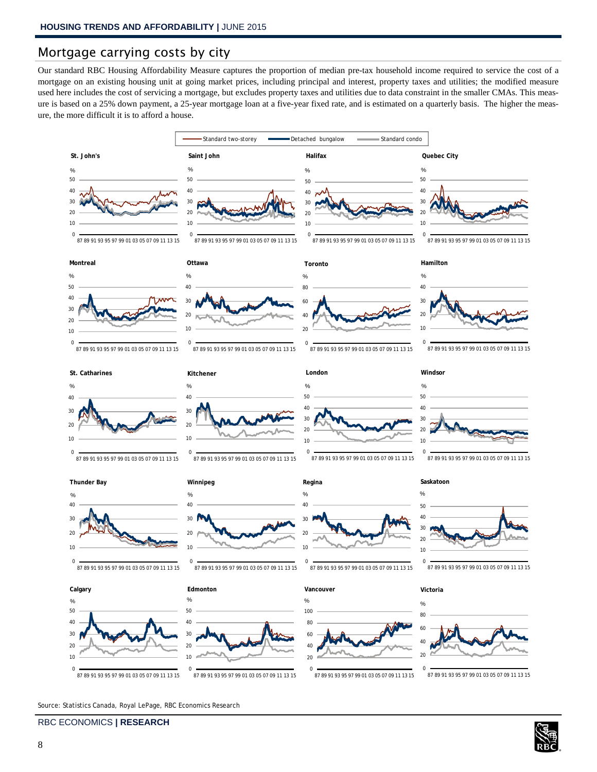## Mortgage carrying costs by city

Our standard RBC Housing Affordability Measure captures the proportion of median pre-tax household income required to service the cost of a mortgage on an existing housing unit at going market prices, including principal and interest, property taxes and utilities; the modified measure used here includes the cost of servicing a mortgage, but excludes property taxes and utilities due to data constraint in the smaller CMAs. This measure is based on a 25% down payment, a 25-year mortgage loan at a five-year fixed rate, and is estimated on a quarterly basis. The higher the measure, the more difficult it is to afford a house.



Source: Statistics Canada, Royal LePage, RBC Economics Research

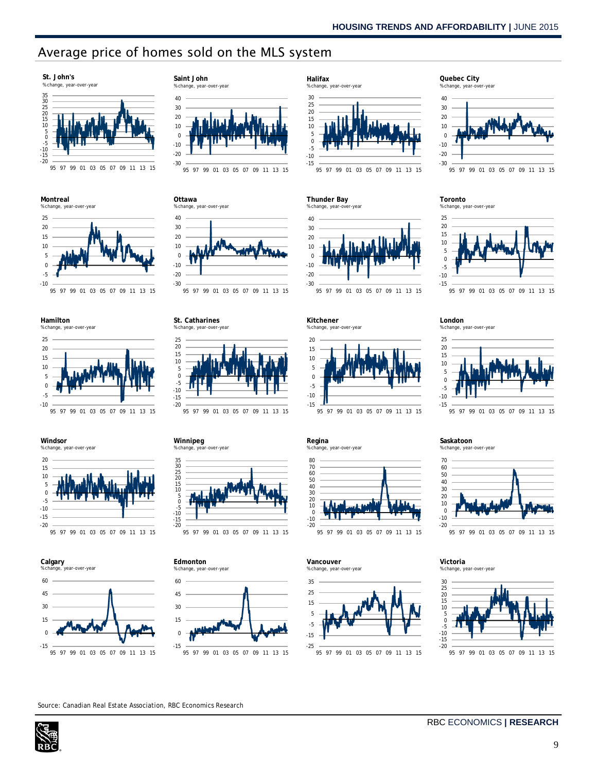# Average price of homes sold on the MLS system



**Montreal**



**Hamilton**





**Windsor**



95 97 99 01 03 05 07 09 11 13 15







95 97 99 01 03 05 07 09 11 13 15

10 20 30 40 **Ottawa** % change, year-over-year



95 97 99 01 03 05 07 09 11 13 15





95 97 99 01 03 05 07 09 11 13 15









**Thunder Bay**



95 97 99 01 03 05 07 09 11 13 15

**Kitchener** % change, year-over-year



95 97 99 01 03 05 07 09 11 13 15

**Regina** % change, year-over-year



**Vancouver** % change, year-over-year



95 97 99 01 03 05 07 09 11 13 15



**Toronto** % change, year-over-year



95 97 99 01 03 05 07 09 11 13 15

#### **London** % change, year-over-year



95 97 99 01 03 05 07 09 11 13 15

**Saskatoon** % change, year-over-year



95 97 99 01 03 05 07 09 11 13 15

**Victoria** % change, year-over-year



95 97 99 01 03 05 07 09 11 13 15

Source: Canadian Real Estate Association, RBC Economics Research

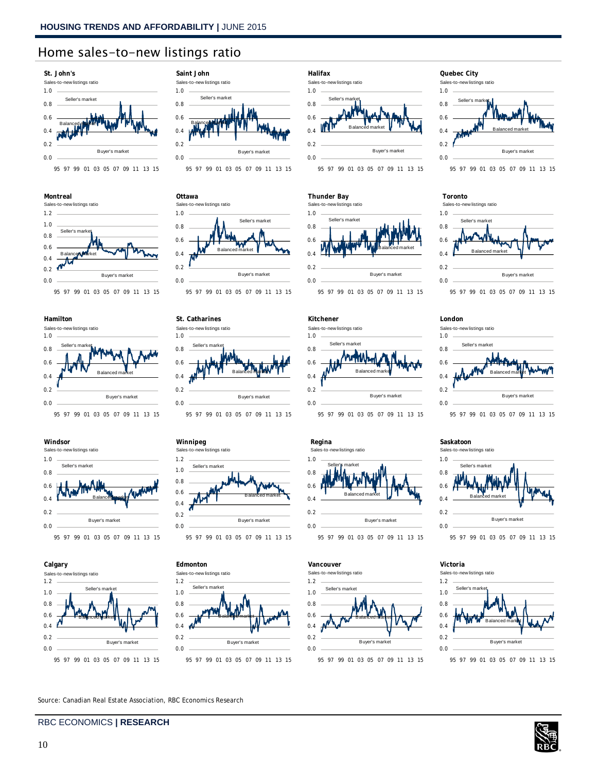## Home sales-to-new listings ratio



























#### 0.0 0.2 0.4 0.6 0.8 1.0 **Thunder Bay** Sales-to-new listings ratio Seller's market Balanced market Buyer's market













#### **London**





#### **Saskatoon** Sales-to-new listings ratio



95 97 99 01 03 05 07 09 11 13 15



Source: Canadian Real Estate Association, RBC Economics Research